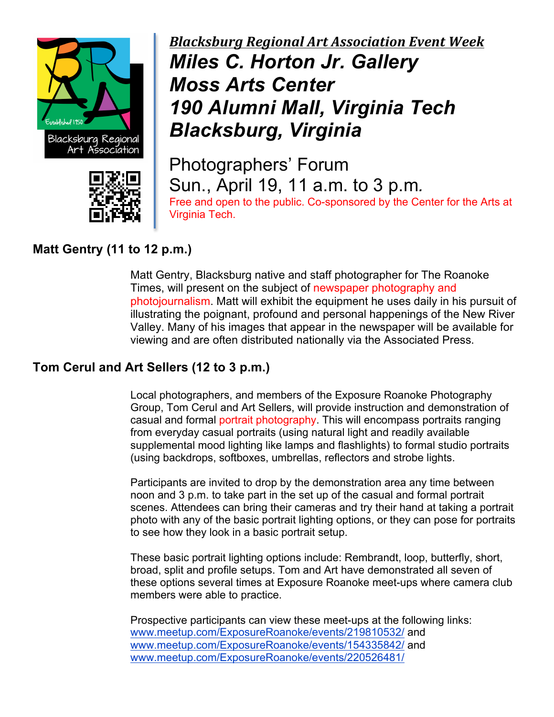



# *Blacksburg Regional Art Association Event Week Miles C. Horton Jr. Gallery Moss Arts Center 190 Alumni Mall, Virginia Tech Blacksburg, Virginia*

Photographers' Forum Sun., April 19, 11 a.m. to 3 p.m*.* Free and open to the public. Co-sponsored by the Center for the Arts at Virginia Tech.

## **Matt Gentry (11 to 12 p.m.)**

Matt Gentry, Blacksburg native and staff photographer for The Roanoke Times, will present on the subject of newspaper photography and photojournalism. Matt will exhibit the equipment he uses daily in his pursuit of illustrating the poignant, profound and personal happenings of the New River Valley. Many of his images that appear in the newspaper will be available for viewing and are often distributed nationally via the Associated Press.

## **Tom Cerul and Art Sellers (12 to 3 p.m.)**

Local photographers, and members of the Exposure Roanoke Photography Group, Tom Cerul and Art Sellers, will provide instruction and demonstration of casual and formal portrait photography. This will encompass portraits ranging from everyday casual portraits (using natural light and readily available supplemental mood lighting like lamps and flashlights) to formal studio portraits (using backdrops, softboxes, umbrellas, reflectors and strobe lights.

Participants are invited to drop by the demonstration area any time between noon and 3 p.m. to take part in the set up of the casual and formal portrait scenes. Attendees can bring their cameras and try their hand at taking a portrait photo with any of the basic portrait lighting options, or they can pose for portraits to see how they look in a basic portrait setup.

These basic portrait lighting options include: Rembrandt, loop, butterfly, short, broad, split and profile setups. Tom and Art have demonstrated all seven of these options several times at Exposure Roanoke meet-ups where camera club members were able to practice.

Prospective participants can view these meet-ups at the following links: www.meetup.com/ExposureRoanoke/events/219810532/ and www.meetup.com/ExposureRoanoke/events/154335842/ and www.meetup.com/ExposureRoanoke/events/220526481/